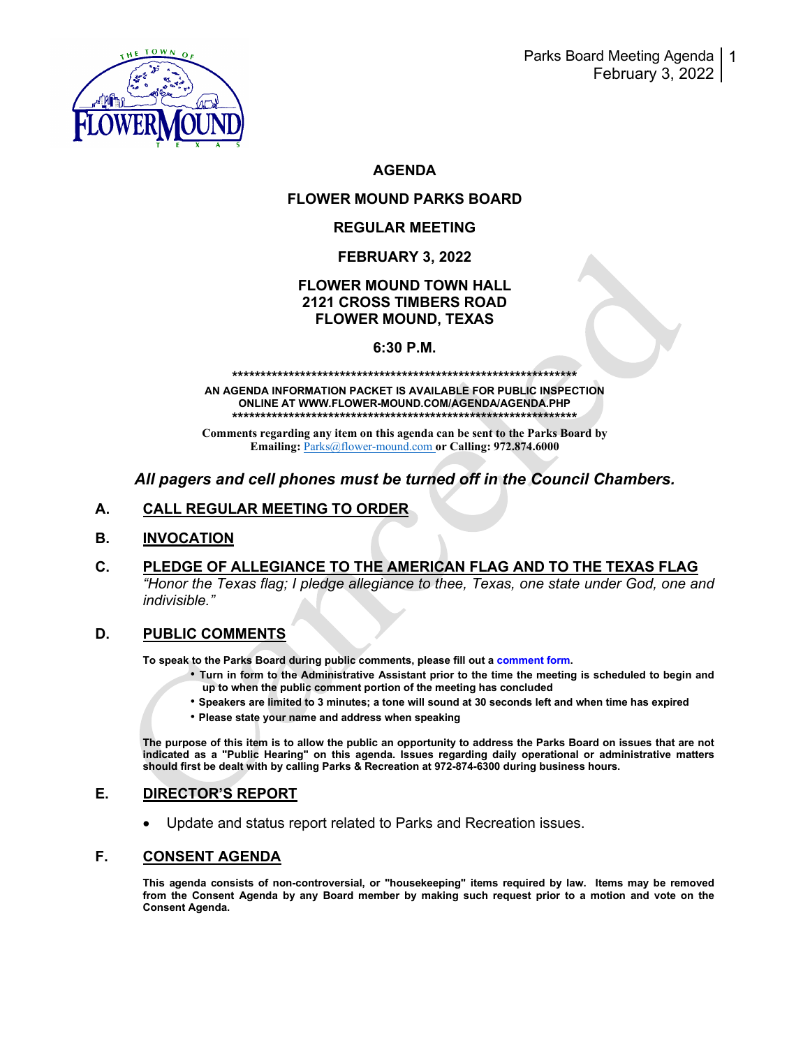

# **AGENDA**

# **FLOWER MOUND PARKS BOARD**

## **REGULAR MEETING**

## **FEBRUARY 3, 2022**

# **FLOWER MOUND TOWN HALL 2121 CROSS TIMBERS ROAD FLOWER MOUND, TEXAS**

### **6:30 P.M.**

#### **\*\*\*\*\*\*\*\*\*\*\*\*\*\*\*\*\*\*\*\*\*\*\*\*\*\*\*\*\*\*\*\*\*\*\*\*\*\*\*\*\*\*\*\*\*\*\*\*\*\*\*\*\*\*\*\*\*\*\*\*\***

**AN AGENDA INFORMATION PACKET IS AVAILABLE FOR PUBLIC INSPECTION ONLINE AT WWW.FLOWER-MOUND.COM/AGENDA/AGENDA.PHP \*\*\*\*\*\*\*\*\*\*\*\*\*\*\*\*\*\*\*\*\*\*\*\*\*\*\*\*\*\*\*\*\*\*\*\*\*\*\*\*\*\*\*\*\*\*\*\*\*\*\*\*\*\*\*\*\*\*\*\*\***

**Comments regarding any item on this agenda can be sent to the Parks Board by Emailing:** [Parks@flower-mound.com](mailto:Parks@flower-mound.com) **or Calling: 972.874.6000**

# *All pagers and cell phones must be turned off in the Council Chambers.*

## **A. CALL REGULAR MEETING TO ORDER**

### **B. INVOCATION**

**C. PLEDGE OF ALLEGIANCE TO THE AMERICAN FLAG AND TO THE TEXAS FLAG** *"Honor the Texas flag; I pledge allegiance to thee, Texas, one state under God, one and indivisible."* 

### **D. PUBLIC COMMENTS**

**To speak to the Parks Board during public comments, please fill out a comment form.** 

- **Turn in form to the Administrative Assistant prior to the time the meeting is scheduled to begin and up to when the public comment portion of the meeting has concluded**
- **Speakers are limited to 3 minutes; a tone will sound at 30 seconds left and when time has expired**
- **Please state your name and address when speaking**

**The purpose of this item is to allow the public an opportunity to address the Parks Board on issues that are not indicated as a "Public Hearing" on this agenda. Issues regarding daily operational or administrative matters should first be dealt with by calling Parks & Recreation at 972-874-6300 during business hours.**

# **E. DIRECTOR'S REPORT**

• Update and status report related to Parks and Recreation issues.

### **F. CONSENT AGENDA**

**This agenda consists of non-controversial, or "housekeeping" items required by law. Items may be removed from the Consent Agenda by any Board member by making such request prior to a motion and vote on the Consent Agenda.**